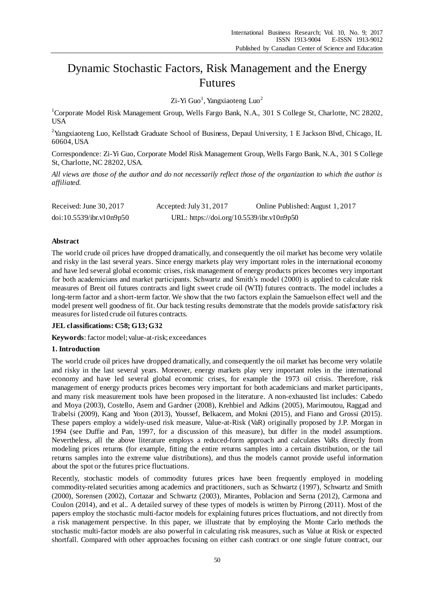# Dynamic Stochastic Factors, Risk Management and the Energy Futures

Zi-Yi Guo $^1$ , Yangxiaoteng Luo $^2$ 

<sup>1</sup>Corporate Model Risk Management Group, Wells Fargo Bank, N.A., 301 S College St, Charlotte, NC 28202, USA

<sup>2</sup>Yangxiaoteng Luo, Kellstadt Graduate School of Business, Depaul University, 1 E Jackson Blvd, Chicago, IL 60604, USA

Correspondence: Zi-Yi Guo, Corporate Model Risk Management Group, Wells Fargo Bank, N.A., 301 S College St, Charlotte, NC 28202, USA.

*All views are those of the author and do not necessarily reflect those of the organization to which the author is affiliated.* 

| Received: June $30, 2017$ | Accepted: July $31, 2017$                 | Online Published: August 1, 2017 |
|---------------------------|-------------------------------------------|----------------------------------|
| doi:10.5539/ibr.v10n9p50  | URL: https://doi.org/10.5539/ibr.v10n9p50 |                                  |

## **Abstract**

The world crude oil prices have dropped dramatically, and consequently the oil market has become very volatile and risky in the last several years. Since energy markets play very important roles in the international economy and have led several global economic crises, risk management of energy products prices becomes very important for both academicians and market participants. Schwartz and Smith's model (2000) is applied to calculate risk measures of Brent oil futures contracts and light sweet crude oil (WTI) futures contracts. The model includes a long-term factor and a short-term factor. We show that the two factors explain the Samuelson effect well and the model present well goodness of fit. Our back testing results demonstrate that the models provide satisfactory risk measures for listed crude oil futures contracts.

#### **JEL classifications: C58; G13; G32**

**Keywords**: factor model; value-at-risk; exceedances

#### **1. Introduction**

The world crude oil prices have dropped dramatically, and consequently the oil market has become very volatile and risky in the last several years. Moreover, energy markets play very important roles in the international economy and have led several global economic crises, for example the 1973 oil crisis. Therefore, risk management of energy products prices becomes very important for both academicians and market participants, and many risk measurement tools have been proposed in the literature. A non-exhausted list includes: Cabedo and Moya (2003), Costello, Asem and Gardner (2008), Krehbiel and Adkins (2005), Marimoutou, Raggad and Trabelsi (2009), Kang and Yoon (2013), Youssef, Belkacem, and Mokni (2015), and Fiano and Grossi (2015). These papers employ a widely-used risk measure, Value-at-Risk (VaR) originally proposed by J.P. Morgan in 1994 (see Duffie and Pan, 1997, for a discussion of this measure), but differ in the model assumptions. Nevertheless, all the above literature employs a reduced-form approach and calculates VaRs directly from modeling prices returns (for example, fitting the entire returns samples into a certain distribution, or the tail returns samples into the extreme value distributions), and thus the models cannot provide useful information about the spot or the futures price fluctuations.

Recently, stochastic models of commodity futures prices have been frequently employed in modeling commodity-related securities among academics and practitioners, such as Schwartz (1997), Schwartz and Smith (2000), Sorensen (2002), Cortazar and Schwartz (2003), Mirantes, Poblacion and Serna (2012), Carmona and Coulon (2014), and et al.. A detailed survey of these types of models is written by Pirrong (2011). Most of the papers employ the stochastic multi-factor models for explaining futures prices fluctuations, and not directly from a risk management perspective. In this paper, we illustrate that by employing the Monte Carlo methods the stochastic multi-factor models are also powerful in calculating risk measures, such as Value at Risk or expected shortfall. Compared with other approaches focusing on either cash contract or one single future contract, our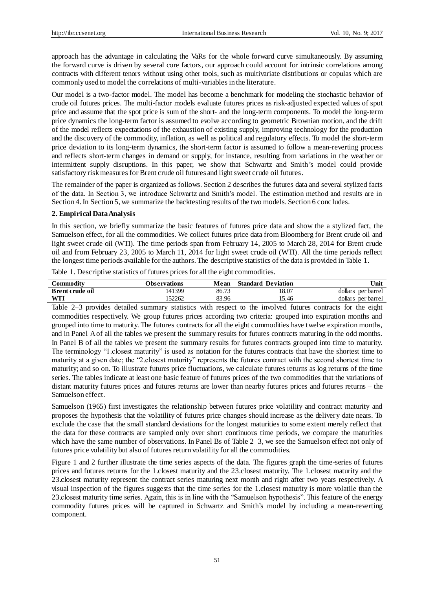approach has the advantage in calculating the VaRs for the whole forward curve simultaneously. By assuming the forward curve is driven by several core factors, our approach could account for intrinsic correlations among contracts with different tenors without using other tools, such as multivariate distributions or copulas which are commonly used to model the correlations of multi-variables in the literature.

Our model is a two-factor model. The model has become a benchmark for modeling the stochastic behavior of crude oil futures prices. The multi-factor models evaluate futures prices as risk-adjusted expected values of spot price and assume that the spot price is sum of the short- and the long-term components. To model the long-term price dynamics the long-term factor is assumed to evolve according to geometric Brownian motion, and the drift of the model reflects expectations of the exhaustion of existing supply, improving technology for the production and the discovery of the commodity, inflation, as well as political and regulatory effects. To model the short-term price deviation to its long-term dynamics, the short-term factor is assumed to follow a mean-reverting process and reflects short-term changes in demand or supply, for instance, resulting from variations in the weather or intermittent supply disruptions. In this paper, we show that Schwartz and Smith's model could provide satisfactory risk measures for Brent crude oil futures and light sweet crude oil futures.

The remainder of the paper is organized as follows. Section 2 describes the futures data and several stylized facts of the data. In Section 3, we introduce Schwartz and Smith's model. The estimation method and results are in Section 4. In Section 5, we summarize the backtesting results of the two models. Section 6 conc ludes.

#### **2. Empirical Data Analysis**

In this section, we briefly summarize the basic features of futures price data and show the a stylized fact, the Samuelson effect, for all the commodities. We collect futures price data from Bloomberg for Brent crude oil and light sweet crude oil (WTI). The time periods span from February 14, 2005 to March 28, 2014 for Brent crude oil and from February 23, 2005 to March 11, 2014 for light sweet crude oil (WTI). All the time periods reflect the longest time periods available for the authors. The descriptive statistics of the data is provided in Table 1.

Table 1. Descriptive statistics of futures prices for all the eight commodities.

| Commodity              | Observations | Mean  | <b>Standard Deviation</b> | Unit               |
|------------------------|--------------|-------|---------------------------|--------------------|
| <b>Brent crude oil</b> | 141399       | 86.73 | 18.07                     | dollars per barrel |
| WTI                    | 152262       | 83.96 | 15.46                     | dollars per barrel |

Table 2–3 provides detailed summary statistics with respect to the involved futures contracts for the eight commodities respectively. We group futures prices according two criteria: grouped into expiration months and grouped into time to maturity. The futures contracts for all the eight commodities have twelve expiration months, and in Panel A of all the tables we present the summary results for futures contracts maturing in the odd months. In Panel B of all the tables we present the summary results for futures contracts grouped into time to maturity. The terminology "1.closest maturity" is used as notation for the futures contracts that have the shortest time to maturity at a given date; the "2.closest maturity" represents the futures contract with the second shortest time to maturity; and so on. To illustrate futures price fluctuations, we calculate futures returns as log returns of the time series. The tables indicate at least one basic feature of futures prices of the two commodities that the variations of distant maturity futures prices and futures returns are lower than nearby futures prices and futures returns – the Samuelson effect.

Samuelson (1965) first investigates the relationship between futures price volatility and contract maturity and proposes the hypothesis that the volatility of futures price changes should increase as the delivery date nears. To exclude the case that the small standard deviations for the longest maturities to some extent merely reflect that the data for these contracts are sampled only over short continuous time periods, we compare the maturities which have the same number of observations. In Panel Bs of Table 2–3, we see the Samuelson effect not only of futures price volatility but also of futures return volatility for all the commodities.

Figure 1 and 2 further illustrate the time series aspects of the data. The figures graph the time-series of futures prices and futures returns for the 1.closest maturity and the 23.closest maturity. The 1.closest maturity and the 23.closest maturity represent the contract series maturing next month and right after two years respectively. A visual inspection of the figures suggests that the time series for the 1.closest maturity is more volatile than the 23.closest maturity time series. Again, this is in line with the "Samuelson hypothesis". This feature of the energy commodity futures prices will be captured in Schwartz and Smith's model by including a mean-reverting component.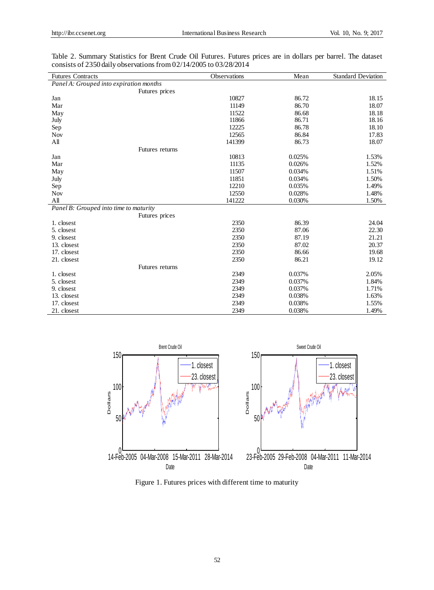| <b>Futures Contracts</b>                | Observations | Mean   | <b>Standard Deviation</b> |
|-----------------------------------------|--------------|--------|---------------------------|
| Panel A: Grouped into expiration months |              |        |                           |
| Futures prices                          |              |        |                           |
| Jan                                     | 10827        | 86.72  | 18.15                     |
| Mar                                     | 11149        | 86.70  | 18.07                     |
| May                                     | 11522        | 86.68  | 18.18                     |
| July                                    | 11866        | 86.71  | 18.16                     |
| Sep                                     | 12225        | 86.78  | 18.10                     |
| <b>Nov</b>                              | 12565        | 86.84  | 17.83                     |
| All                                     | 141399       | 86.73  | 18.07                     |
| Futures returns                         |              |        |                           |
| Jan                                     | 10813        | 0.025% | 1.53%                     |
| Mar                                     | 11135        | 0.026% | 1.52%                     |
| May                                     | 11507        | 0.034% | 1.51%                     |
| July                                    | 11851        | 0.034% | 1.50%                     |
| Sep                                     | 12210        | 0.035% | 1.49%                     |
| <b>Nov</b>                              | 12550        | 0.028% | 1.48%                     |
| A <sup>II</sup>                         | 141222       | 0.030% | 1.50%                     |
| Panel B: Grouped into time to maturity  |              |        |                           |
| Futures prices                          |              |        |                           |
| 1. closest                              | 2350         | 86.39  | 24.04                     |
| 5. closest                              | 2350         | 87.06  | 22.30                     |
| 9. closest                              | 2350         | 87.19  | 21.21                     |
| 13. closest                             | 2350         | 87.02  | 20.37                     |
| 17. closest                             | 2350         | 86.66  | 19.68                     |
| 21. closest                             | 2350         | 86.21  | 19.12                     |
| Futures returns                         |              |        |                           |
| 1. closest                              | 2349         | 0.037% | 2.05%                     |
| 5. closest                              | 2349         | 0.037% | 1.84%                     |
| 9. closest                              | 2349         | 0.037% | 1.71%                     |
| 13. closest                             | 2349         | 0.038% | 1.63%                     |
| 17. closest                             | 2349         | 0.038% | 1.55%                     |
| 21. closest                             | 2349         | 0.038% | 1.49%                     |

Table 2. Summary Statistics for Brent Crude Oil Futures. Futures prices are in dollars per barrel. The dataset consists of 2350 daily observations from 02/14/2005 to 03/28/2014



Figure 1. Futures prices with different time to maturity

52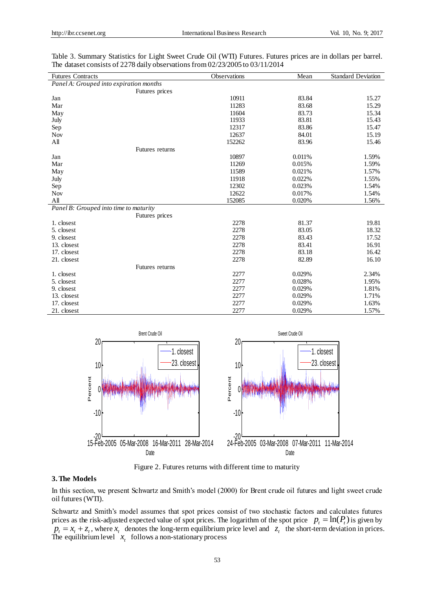| <b>Futures Contracts</b>                |                 | Observations | Mean            | <b>Standard Deviation</b> |
|-----------------------------------------|-----------------|--------------|-----------------|---------------------------|
| Panel A: Grouped into expiration months |                 |              |                 |                           |
|                                         | Futures prices  |              |                 |                           |
| Jan                                     |                 | 10911        | 83.84           | 15.27                     |
| Mar                                     |                 | 11283        | 83.68           | 15.29                     |
| May                                     |                 | 11604        | 83.73           | 15.34                     |
| July                                    |                 | 11933        | 83.81           | 15.43                     |
| Sep                                     |                 | 12317        | 83.86           | 15.47                     |
| <b>Nov</b>                              |                 | 12637        | 84.01           | 15.19                     |
| All                                     |                 | 152262       | 83.96           | 15.46                     |
|                                         | Futures returns |              |                 |                           |
| Jan                                     |                 | 10897        | 0.011%          | 1.59%                     |
| Mar                                     |                 | 11269        | 0.015%          | 1.59%                     |
| May                                     |                 | 11589        | 0.021%          | 1.57%                     |
| July                                    |                 | 11918        | 0.022%          | 1.55%                     |
| Sep                                     |                 | 12302        | 0.023%          | 1.54%                     |
| <b>Nov</b>                              |                 | 12622        | 0.017%          | 1.54%                     |
| ${\rm All}$                             |                 | 152085       | 0.020%          | 1.56%                     |
| Panel B: Grouped into time to maturity  |                 |              |                 |                           |
|                                         | Futures prices  |              |                 |                           |
| 1. closest                              |                 | 2278         | 81.37           | 19.81                     |
| 5. closest                              |                 | 2278         | 83.05           | 18.32                     |
| 9. closest                              |                 | 2278         | 83.43           | 17.52                     |
| 13. closest                             |                 | 2278         | 83.41           | 16.91                     |
| 17. closest                             |                 | 2278         | 83.18           | 16.42                     |
| 21. closest                             |                 | 2278         | 82.89           | 16.10                     |
|                                         | Futures returns |              |                 |                           |
| 1. closest                              |                 | 2277         | 0.029%          | 2.34%                     |
| 5. closest                              |                 | 2277         | 0.028%          | 1.95%                     |
| 9. closest                              |                 | 2277         | 0.029%          | 1.81%                     |
| 13. closest                             |                 | 2277         | 0.029%          | 1.71%                     |
| 17. closest                             |                 | 2277         | 0.029%          | 1.63%                     |
| 21. closest                             |                 | 2277         | 0.029%          | 1.57%                     |
|                                         |                 |              |                 |                           |
|                                         |                 |              |                 |                           |
|                                         | Brent Crude Oil |              | Sweet Crude Oil |                           |
|                                         |                 |              |                 |                           |
| 20                                      |                 | $20\,$       |                 |                           |
|                                         | 1. closest      |              | 1. closest      |                           |
|                                         | 23. closest     |              | 23. closest     |                           |
| 10                                      |                 | $10$         |                 |                           |
|                                         |                 |              |                 |                           |
| $\widetilde{\mathsf{c}}$                |                 | Ĕ            | 血<br>ll liarna  |                           |

| Table 3. Summary Statistics for Light Sweet Crude Oil (WTI) Futures. Futures prices are in dollars per barrel. |  |  |  |  |  |  |
|----------------------------------------------------------------------------------------------------------------|--|--|--|--|--|--|
| The dataset consists of 2278 daily observations from $02/23/2005$ to $03/11/2014$                              |  |  |  |  |  |  |



Figure 2. Futures returns with different time to maturity

## **3. The Models**

In this section, we present Schwartz and Smith's model (2000) for Brent crude oil futures and light sweet crude oil futures (WTI).  $\overline{5}$ 23. closest <sup>1</sup><br>1 de<br>1  $\frac{1}{2}$ 

Schwartz and Smith's model assumes that spot prices consist of two stochastic factors and calculates futures prices as the risk-adjusted expected value of spot prices. The logarithm of the spot price  $p_t = \ln(P_t)$  is given by  $p_t = x_t + z_t$ , where  $x_t$  denotes the long-term equilibrium price level and  $z_t$  the short-term deviation in prices. The equilibrium level  $x_t$  follows a non-stationary process d Smith's model assumes that spot prices consist of two stochastic fails risk-adjusted expected value of spot prices. The logarithm of the spot price,  $\tau_t$ , where  $x_t$  denotes the long-term equilibrium price level and  $z$  $\mathbf{y}$ tures<br>en by<br>prices.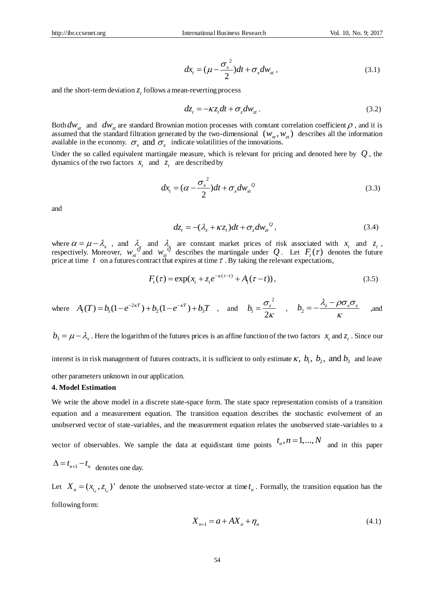$$
dx_t = (\mu - \frac{\sigma_x^2}{2})dt + \sigma_x dw_{xt},
$$
\n(3.1)

and the short-term deviation  $z<sub>t</sub>$  follows a mean-reverting process

$$
dz_t = -\kappa z_t dt + \sigma_z dw_x. \tag{3.2}
$$

Both  $dw_{xt}$  and  $dw_{zt}$  are standard Brownian motion processes with constant correlation coefficient  $\rho$ , and it is assumed that the standard filtration generated by the two-dimensional  $(w_x, w_y)$  describes all the information available in the economy.  $\sigma_x$  and  $\sigma_z$  indicate volatilities of the innovations.

Under the so called equivalent martingale measure, which is relevant for pricing and denoted here by *Q* , the dynamics of the two factors  $x_t$  and  $z_t$  are described by

$$
dx_t = (\alpha - \frac{\sigma_x^2}{2})dt + \sigma_x dw_{xt}^Q
$$
\n(3.3)

and

$$
dz_t = -(\lambda_z + \kappa z_t)dt + \sigma_z dw_{zt}^Q,
$$
\n(3.4)

where  $\alpha = \mu - \lambda_x$ , and  $\lambda_x$  and  $\lambda_z$  are constant market prices of risk associated with  $x_t$  and  $z_t$ , respectively. Moreover,  $w_{xt}^Q$  and  $w_{xt}^Q$  describes the martingale under  $Q$ . Let  $F_t(\tau)$  denotes the future price at time  $t$  on a futures contract that expires at time  $\tau$ . By taking the relevant expectations,

$$
F_{t}(\tau) = \exp(x_{t} + z_{t}e^{-\kappa(\tau - t)} + A_{1}(\tau - t)),
$$
\n(3.5)

where 
$$
A_1(T) = b_1(1 - e^{-2\kappa T}) + b_2(1 - e^{-\kappa T}) + b_3T
$$
, and  $b_1 = \frac{\sigma_z^2}{2\kappa}$ ,  $b_2 = -\frac{\lambda_z - \rho \sigma_x \sigma_z}{\kappa}$  , and

 $b_3 = \mu - \lambda_x$ . Here the logarithm of the futures prices is an affine function of the two factors  $x_t$  and  $z_t$ . Since our

interest is in risk management of futures contracts, it is sufficient to only estimate  $\kappa$ ,  $b_1$ ,  $b_2$ , and  $b_3$  and leave

other parameters unknown in our application.

#### **4. Model Estimation**

We write the above model in a discrete state-space form. The state space representation consists of a transition equation and a measurement equation. The transition equation describes the stochastic evolvement of an unobserved vector of state-variables, and the measurement equation relates the unobserved state-variables to a

vector of observables. We sample the data at equidistant time points  $t_n, n = 1,..., N$  and in this paper

$$
\Delta = t_{n+1} - t_n
$$
 denotes one day.

Let  $X_n = (x_{t_n}, z_{t_n})'$  denote the unobserved state-vector at time  $t_n$ . Formally, the transition equation has the following form:

$$
X_{n+1} = a + AX_n + \eta_n \tag{4.1}
$$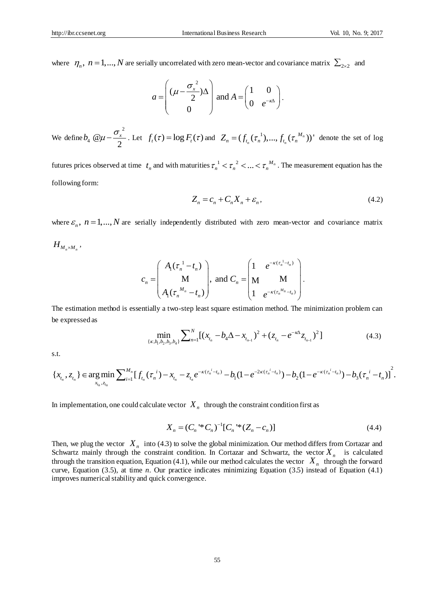where  $\eta_n$ ,  $n = 1,..., N$  are serially uncorrelated with zero mean-vector and covariance matrix  $\Sigma_{2 \times 2}$  and

$$
a = \begin{pmatrix} (\mu - \frac{\sigma_x^2}{2})\Delta \\ 0 \end{pmatrix} \text{ and } A = \begin{pmatrix} 1 & 0 \\ 0 & e^{-\kappa \Delta} \end{pmatrix}.
$$

We define 2  $4 \epsilon^4$  2  $b_4 \bigotimes \mu - \frac{\sigma_x^2}{2}$ . Let  $f_t(\tau) = \log F_t(\tau)$  and  $Z_n = (f_{t_n}(\tau_n^{-1}), ..., f_{t_n}(\tau_n^{-M_n}))$  $Z_n = (f_{t_n}(\tau_n^{-1}), ..., f_{t_n}(\tau_n^{-M_n}))$ ' denote the set of log

futures prices observed at time  $t_n$  and with maturities  $\tau_n^{-1} < \tau_n^{-2} < ... < \tau_n^{-M_n}$ . The measurement equation has the following form:

$$
Z_n = c_n + C_n X_n + \varepsilon_n, \tag{4.2}
$$

where  $\varepsilon_n$ ,  $n = 1,..., N$  are serially independently distributed with zero mean-vector and covariance matrix  $H_{M_n \times M_n}$ 

$$
c_n = \begin{pmatrix} A_1(\tau_n^{-1} - t_n) \\ M \\ A_1(\tau_n^{-M_n} - t_n) \end{pmatrix}, \text{ and } C_n = \begin{pmatrix} 1 & e^{-\kappa(\tau_n^{-1} - t_n)} \\ M & M \\ 1 & e^{-\kappa(\tau_n^{-M_n} - t_n)} \end{pmatrix}.
$$

The estimation method is essentially a two-step least square estimation method. The minimization problem can be expressed as

$$
\min_{\{k, b_1, b_2, b_3, b_4\}} \sum_{n=1}^{N} \left[ (x_{t_n} - b_4 \Delta - x_{t_{n-1}})^2 + (z_{t_n} - e^{-\kappa \Delta} z_{t_{n-1}})^2 \right]
$$
(4.3)

s.t.

$$
\min_{\{\kappa, b_1, b_2, b_3, b_4\}} \sum_{n=1}^{N} \left[ (x_{t_n} - b_4 \Delta - x_{t_{n-1}})^2 + (z_{t_n} - e^{-\kappa \Delta} z_{t_{n-1}})^2 \right] \tag{4.3}
$$
\n
$$
\{x_{t_n}, z_{t_n}\} \in \arg\min_{x_{t_n}, z_{t_n}} \sum_{i=1}^{M_n} \left[ f_{t_n}(\tau_n^i) - x_{t_n} - z_{t_n} e^{-\kappa(\tau_n^i - t_n)} - b_1 (1 - e^{-2\kappa(\tau_n^i - t_n)}) - b_2 (1 - e^{-\kappa(\tau_n^i - t_n)}) - b_3 (\tau_n^i - t_n) \right]^2.
$$

In implementation, one could calculate vector  $X_n$  through the constraint condition first as

$$
X_n = (C_n \cdot C_n)^{-1} [C_n \cdot C_n - c_n)] \tag{4.4}
$$

Then, we plug the vector  $X_n$  into (4.3) to solve the global minimization. Our method differs from Cortazar and Schwartz mainly through the constraint condition. In Cortazar and Schwartz, the vector  $X_n$  is calculated through the transition equation, Equation (4.1), while our method calculates the vector  $X_n$  through the forward curve, Equation (3.5), at time *n*. Our practice indicates minimizing Equation (3.5) instead of Equation (4.1) improves numerical stability and quick convergence.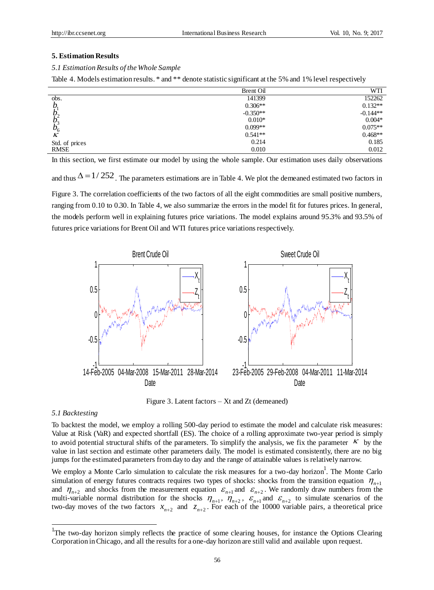#### **5. Estimation Results**

*5.1 Estimation Results of the Whole Sample*

Table 4. Models estimation results. \* and \*\* denote statistic significant at the 5% and 1% level respectively

|                   | <b>Brent Oil</b> | WTI        |
|-------------------|------------------|------------|
| obs.              | 141399           | 152262     |
| $\mathcal{D}$     | $0.306**$        | $0.132**$  |
| V,                | $-0.350**$       | $-0.144**$ |
| $\bm{\mathit{v}}$ | $0.010*$         | $0.004*$   |
| $b_{6}$           | $0.099**$        | $0.075**$  |
| К                 | $0.541**$        | $0.468**$  |
| Std. of prices    | 0.214            | 0.185      |
| <b>RMSE</b>       | 0.010            | 0.012      |

In this section, we first estimate our model by using the whole sample. Our estimation uses daily observations and thus  $\Delta = 1/252$ . The parameters estimations are in Table 4. We plot the demeaned estimated two factors in

Figure 3. The correlation coefficients of the two factors of all the eight commodities are small positive numbers, ranging from 0.10 to 0.30. In Table 4, we also summarize the errors in the model fit for futures prices. In general, the models perform well in explaining futures price variations. The model explains around 95.3% and 93.5% of futures price variations for Brent Oil and WTI futures price variations respectively.



Figure 3. Latent factors  $-$  Xt and Zt (demeaned)

## 5.1 Backtesting

 $\overline{a}$ 

To backtest the model, we employ a rolling 500-day period to estimate the model and calculate risk measures: Value at Risk (VaR) and expected shortfall (ES). The choice of a rolling approximate two-year period is simply to avoid potential structural shifts of the parameters. To simplify the analysis, we fix the parameter  $\kappa$  by the value in last section and estimate other parameters daily. The model is estimated consistently, there are no big jumps for the estimated parameters from day to day and the range of attainable values is relatively narrow.

We employ a Monte Carlo simulation to calculate the risk measures for a two-day horizon<sup>1</sup>. The Monte Carlo simulation of energy futures contracts requires two types of shocks: shocks from the transition equation  $\eta_{n+1}$ and  $\eta_{n+2}$  and shocks from the measurement equation  $\varepsilon_{n+1}$  and  $\varepsilon_{n+2}$ . We randomly draw numbers from the multi-variable normal distribution for the shocks  $\eta_{n+1}$ ,  $\eta_{n+2}$ ,  $\varepsilon_{n+1}$  and  $\varepsilon_{n+2}$  to simulate scenarios of the two-day moves of the two factors  $x_{n+2}$  and  $z_{n+2}$ . For each of the 10000 variable pairs, a theoretical price

date and the contract of the contract of the contract of the contract of the contract of the contract of the contract of the contract of the contract of the contract of the contract of the contract of the contract of the c

<sup>&</sup>lt;sup>1</sup>The two-day horizon simply reflects the practice of some clearing houses, for instance the Options Clearing Corporation in Chicago, and all the results for a one-day horizon are still valid and available upon request.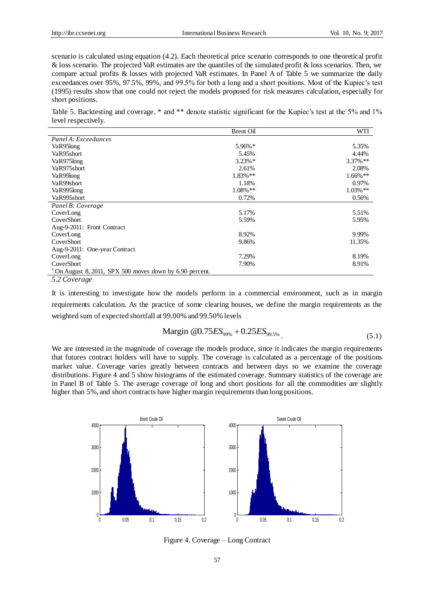scenario is calculated using equation (4.2). Each theoretical price scenario corresponds to one theoretical profit & loss scenario. The projected VaR estimates are the quantiles of the simulated profit & loss scenarios. Then, we compare actual profits & losses with projected VaR estimates. In Panel A of Table 5 we summarize the daily exceedances over 95%, 97.5%, 99%, and 99.5% for both a long and a short positions. Most of the Kupiec's test (1995) results show that one could not reject the models proposed for risk measures calculation, especially for short positions.

Table 5. Backtesting and coverage. \* and \*\* denote statistic significant for the Kupiec's test at the 5% and 1% level respectively.

|                                                                     | <b>Brent Oil</b> | WTI         |
|---------------------------------------------------------------------|------------------|-------------|
| Panel A: Exceedances                                                |                  |             |
| VaR95long                                                           | $5.96\%$ *       | 5.35%       |
| VaR95short                                                          | 5.45%            | 4.44%       |
| VaR975long                                                          | $3.23\%*$        | $3.37\%$ ** |
| VaR975short                                                         | 2.61%            | 2.08%       |
| VaR99long                                                           | $1.83\%**$       | $1.66\%$ ** |
| VaR99short                                                          | 1.18%            | 0.97%       |
| VaR995long                                                          | $1.08\%$ **      | $1.03\%$ ** |
| VaR995short                                                         | 0.72%            | 0.56%       |
| Panel B: Coverage                                                   |                  |             |
| CoverLong                                                           | 5.17%            | 5.51%       |
| CoverShort                                                          | 5.59%            | 5.95%       |
| Aug-9-2011: Front Contract                                          |                  |             |
| CoverLong                                                           | 8.92%            | 9.99%       |
| CoverShort                                                          | 9.86%            | 11.35%      |
| Aug-9-2011: One-year Contract                                       |                  |             |
| CoverLong                                                           | 7.29%            | 8.19%       |
| CoverShort                                                          | 7.90%            | 8.91%       |
| <sup>a</sup> On August 8, 2011, SPX 500 moves down by 6.90 percent. |                  |             |
| $5.2$ Coverage                                                      |                  |             |

*5.2 Coverage*

It is interesting to investigate how the models perform in a commercial environment, such as in margin requirements calculation. As the practice of some clearing houses, we define the margin requirements as the weighted sum of expected shortfall at 99.00% and 99.50% levels

$$
\text{Margin } @0.75ES_{99\%} + 0.25ES_{99.5\%} \tag{5.1}
$$

We are interested in the magnitude of coverage the models produce, since it indicates the margin requirements that futures contract holders will have to supply. The coverage is calculated as a percentage of the positions market value. Coverage varies greatly between contracts and between days so we examine the coverage distributions. Figure 4 and 5 show histograms of the estimated coverage. Summary statistics of the coverage are in Panel B of Table 5. The average coverage of long and short positions for all the commodities are slightly higher than 5%, and short contracts have higher margin requirements than long positions.



Figure 4. Coverage – Long Contract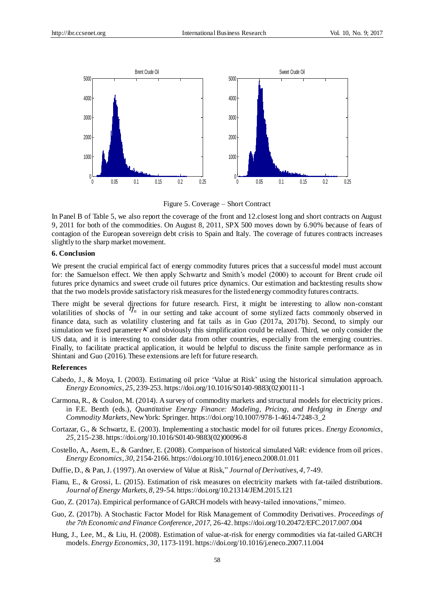

Figure 5. Coverage – Short Contract

In Panel B of Table 5, we also report the coverage of the front and 12. closest long and short contracts on August 9, 2011 for both of the commodities. On August 8, 2011, SPX 500 moves down by 6.90% because of fears of contagion of the European sovereign debt crisis to Spain and Italy. The coverage of futures contracts increases slightly to the sharp market movement.

## **6. Conclusion** 400

We present the crucial empirical fact of energy commodity futures prices that a successful model must account for: the Samuelson effect. We then apply Schwartz and Smith's model (2000) to account for Brent crude oil futures price dynamics and sweet crude oil futures price dynamics. Our estimation and backtesting results show that the two models provide satisfactory risk measures for the listed energy commodity futures contracts.

There might be several directions for future research. First, it might be interesting to allow non-constant volatilities of shocks of  $\eta_n$  in our setting and take account of some stylized facts commonly observed in finance data, such as volatility clustering and fat tails as in Guo (2017a, 2017b). Second, to simply our simulation we fixed parameter K and obviously this simplification could be relaxed. Third, we only consider the US data, and it is interesting to consider data from other countries, especially from the emerging countries. Finally, to facilitate practical application, it would be helpful to discuss the finite sample performance as in Shintani and Guo (2016). These extensions are left for future research. Peak Electricity  $\overline{\mathbf{a}}$  $\mathcal{L}$   $\mathcal{L}$   $\mathcal{L}$ 

#### **References** 2500

- Cabedo, J., & Moya, I. (2003). Estimating oil price 'Value at Risk' using the historical simulation approach. *Energy Economics*, *25,* 239-253. https://doi.org/10.1016/S0140-9883(02)00111-1
- Carmona, R., & Coulon, M. (2014). A survey of commodity markets and structural models for electricity prices. in F.E. Benth (eds.), *Quantitative Energy Finance: Modeling, Pricing, and Hedging in Energy and*  Commodity Markets, New York: Springer. https://doi.org/10.1007/978-1-4614-7248-3\_2
- Cortazar, G., & Schwartz, E. (2003). Implementing a stochastic model for oil futures prices. *Energy Economics*, *25,* 215-238. https://doi.org/10.1016/S0140-9883(02)00096-8
- Costello, A., Asem, E., & Gardner, E. (2008). Comparison of historical simulated VaR: evidence from oil prices. *Energy Economics*, *30,* 2154-2166. https://doi.org/10.1016/j.eneco.2008.01.011
- Duffie, D., & Pan, J. (1997). An overview of Value at Risk," *Journal of Derivatives*, *4,* 7-49.
- Fianu, E., & Grossi, L. (2015). Estimation of risk measures on electricity markets with fat-tailed distributions. *Journal of Energy Markets*, *8,* 29-54. https://doi.org/10.21314/JEM.2015.121
- Guo, Z. (2017a). Empirical performance of GARCH models with heavy-tailed innovations," mimeo.
- Guo, Z. (2017b). A Stochastic Factor Model for Risk Management of Commodity Derivatives. *Proceedings of the 7th Economic and Finance Conference, 2017,* 26-42. https://doi.org/10.20472/EFC.2017.007.004
- Hung, J., Lee, M., & Liu, H. (2008). Estimation of value-at-risk for energy commodities via fat-tailed GARCH models. *Energy Economics*, *30,* 1173-1191. https://doi.org/10.1016/j.eneco.2007.11.004